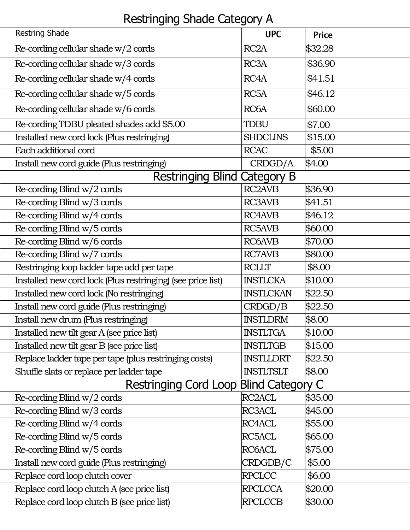## Restringing Shade Category A

|                                     | <b>Restring Shade</b>                                       | <b>UPC</b>          | <b>Price</b> |  |  |  |
|-------------------------------------|-------------------------------------------------------------|---------------------|--------------|--|--|--|
|                                     | Re-cording cellular shade $w/2$ cords                       | RC <sub>2</sub> A   | \$32.28      |  |  |  |
|                                     | Re-cording cellular shade w/3 cords                         | RC3A                | \$36.90      |  |  |  |
|                                     | Re-cording cellular shade w/4 cords                         | RC4A                | \$41.51      |  |  |  |
|                                     | Re-cording cellular shade w/5 cords                         | RC <sub>5</sub> A   | \$46.12      |  |  |  |
|                                     | Re-cording cellular shade w/6 cords                         | RC <sub>6</sub> A   | \$60.00      |  |  |  |
|                                     | Re-cording TDBU pleated shades add \$5.00                   | <b>TDBU</b>         | \$7.00       |  |  |  |
|                                     | Installed new cord lock (Plus restringing)                  | <b>SHDCLINS</b>     | \$15.00      |  |  |  |
|                                     | Each additional cord                                        | <b>RCAC</b>         | \$5.00       |  |  |  |
|                                     | Install new cord guide (Plus restringing)                   | CRDGD/A             | \$4.00       |  |  |  |
| <b>Restringing Blind Category B</b> |                                                             |                     |              |  |  |  |
|                                     | Re-cording Blind $w/2$ cords                                | <b>RC2AVB</b>       | \$36.90      |  |  |  |
|                                     | Re-cording Blind w/3 cords                                  | <b>RC3AVB</b>       | \$41.51      |  |  |  |
|                                     | Re-cording Blind w/4 cords                                  | <b>RC4AVB</b>       | \$46.12      |  |  |  |
|                                     | Re-cording Blind w/5 cords                                  | <b>RC5AVB</b>       | \$60.00      |  |  |  |
|                                     | Re-cording Blind w/6 cords                                  | <b>RC6AVB</b>       | \$70.00      |  |  |  |
|                                     | Re-cording Blind w/7 cords                                  | <b>RC7AVB</b>       | \$80.00      |  |  |  |
|                                     | Restringing loop ladder tape add per tape                   | <b>RCLLT</b>        | \$8.00       |  |  |  |
|                                     | Installed new cord lock (Plus restringing) (see price list) | <b>INSTLCKA</b>     | \$10.00      |  |  |  |
|                                     | Installed new cord lock (No restringing)                    | <b>INSTLCKAN</b>    | \$22.50      |  |  |  |
|                                     | Install new cord guide (Plus restringing)                   | CRDGD/B             | \$22.50      |  |  |  |
|                                     | Install new drum (Plus restringing)                         | <b>INSTLDRM</b>     | \$8.00       |  |  |  |
|                                     | Installed new tilt gear A (see price list)                  | <b>INSTLTGA</b>     | \$10.00      |  |  |  |
|                                     | Installed new tilt gear B (see price list)                  | <b>INSTLTGB</b>     | \$15.00      |  |  |  |
|                                     | Replace ladder tape per tape (plus restringing costs)       | <b>INSTLLDRT</b>    | \$22.50      |  |  |  |
|                                     | Shuffle slats or replace per ladder tape                    | <b>INSTLTSLT</b>    | \$8.00       |  |  |  |
|                                     | Restringing Cord Loop Blind Category C                      |                     |              |  |  |  |
|                                     | Re-cording Blind $w/2$ cords                                | RC <sub>2</sub> ACL | \$35.00      |  |  |  |
|                                     | Re-cording Blind w/3 cords                                  | <b>RC3ACL</b>       | \$45.00      |  |  |  |
|                                     | Re-cording Blind w/4 cords                                  | RC4ACL              | \$55.00      |  |  |  |
|                                     | Re-cording Blind w/5 cords                                  | <b>RC5ACL</b>       | \$65.00      |  |  |  |
|                                     | Re-cording Blind w/5 cords                                  | RC6ACL              | \$75.00      |  |  |  |
|                                     | Install new cord guide (Plus restringing)                   | CRDGDB/C            | \$5.00       |  |  |  |
|                                     | Replace cord loop clutch cover                              | <b>RPCLCC</b>       | \$6.00       |  |  |  |
|                                     | Replace cord loop clutch A (see price list)                 | <b>RPCLCCA</b>      | \$20.00      |  |  |  |
|                                     | Replace cord loop clutch B (see price list)                 | <b>RPCLCCB</b>      | \$30.00      |  |  |  |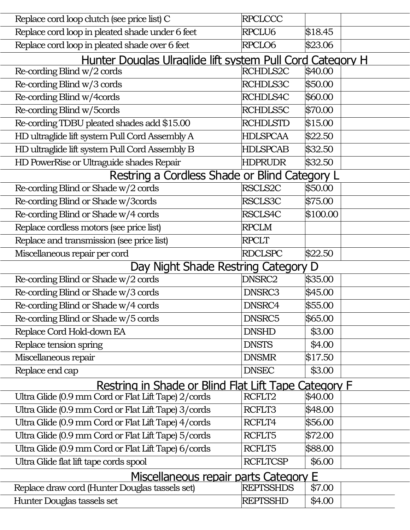|                                                           | Replace cord loop clutch (see price list) C          | <b>RPCLCCC</b>   |          |  |  |  |  |  |
|-----------------------------------------------------------|------------------------------------------------------|------------------|----------|--|--|--|--|--|
|                                                           | Replace cord loop in pleated shade under 6 feet      | RPCLU6           | \$18.45  |  |  |  |  |  |
|                                                           | Replace cord loop in pleated shade over 6 feet       | RPCLO6           | \$23.06  |  |  |  |  |  |
| Hunter Douglas Ulraglide lift system Pull Cord Category H |                                                      |                  |          |  |  |  |  |  |
|                                                           | Re-cording Blind $w/2$ cords                         | RCHDLS2C         | \$40.00  |  |  |  |  |  |
|                                                           | Re-cording Blind w/3 cords                           | RCHDLS3C         | \$50.00  |  |  |  |  |  |
|                                                           | Re-cording Blind w/4cords                            | <b>RCHDLS4C</b>  | \$60.00  |  |  |  |  |  |
|                                                           | Re-cording Blind w/5cords                            | <b>RCHDLS5C</b>  | \$70.00  |  |  |  |  |  |
|                                                           | Re-cording TDBU pleated shades add \$15.00           | <b>RCHDLSTD</b>  | \$15.00  |  |  |  |  |  |
|                                                           | HD ultraglide lift system Pull Cord Assembly A       | <b>HDLSPCAA</b>  | \$22.50  |  |  |  |  |  |
|                                                           | HD ultraglide lift system Pull Cord Assembly B       | HDLSPCAB         | \$32.50  |  |  |  |  |  |
|                                                           | HD PowerRise or Ultraguide shades Repair             | <b>HDPRUDR</b>   | \$32.50  |  |  |  |  |  |
| Restring a Cordless Shade or Blind Category L             |                                                      |                  |          |  |  |  |  |  |
|                                                           | Re-cording Blind or Shade w/2 cords                  | RSCLS2C          | \$50.00  |  |  |  |  |  |
|                                                           | Re-cording Blind or Shade w/3cords                   | RSCLS3C          | \$75.00  |  |  |  |  |  |
|                                                           | Re-cording Blind or Shade w/4 cords                  | <b>RSCLS4C</b>   | \$100.00 |  |  |  |  |  |
|                                                           | Replace cordless motors (see price list)             | <b>RPCLM</b>     |          |  |  |  |  |  |
|                                                           | Replace and transmission (see price list)            | <b>RPCLT</b>     |          |  |  |  |  |  |
|                                                           | Miscellaneous repair per cord                        | <b>RDCLSPC</b>   | \$22.50  |  |  |  |  |  |
| Day Night Shade Restring Category D                       |                                                      |                  |          |  |  |  |  |  |
|                                                           | Re-cording Blind or Shade w/2 cords                  | DNSRC2           | \$35.00  |  |  |  |  |  |
|                                                           | Re-cording Blind or Shade w/3 cords                  | DNSRC3           | \$45.00  |  |  |  |  |  |
|                                                           | Re-cording Blind or Shade w/4 cords                  | DNSRC4           | \$55.00  |  |  |  |  |  |
|                                                           | Re-cording Blind or Shade w/5 cords                  | DNSRC5           | \$65.00  |  |  |  |  |  |
|                                                           | Replace Cord Hold-down EA                            | <b>DNSHD</b>     | \$3.00   |  |  |  |  |  |
|                                                           | Replace tension spring                               | <b>DNSTS</b>     | \$4.00   |  |  |  |  |  |
|                                                           | Miscellaneous repair                                 | <b>DNSMR</b>     | \$17.50  |  |  |  |  |  |
|                                                           | Replace end cap                                      | <b>DNSEC</b>     | \$3.00   |  |  |  |  |  |
|                                                           | Restring in Shade or Blind Flat Lift Tape Category F |                  |          |  |  |  |  |  |
|                                                           | Ultra Glide (0.9 mm Cord or Flat Lift Tape) 2/cords  | RCFLT2           | \$40.00  |  |  |  |  |  |
|                                                           | Ultra Glide (0.9 mm Cord or Flat Lift Tape) 3/cords  | RCFLT3           | \$48.00  |  |  |  |  |  |
|                                                           | Ultra Glide (0.9 mm Cord or Flat Lift Tape) 4/cords  | RCFLT4           | \$56.00  |  |  |  |  |  |
|                                                           | Ultra Glide (0.9 mm Cord or Flat Lift Tape) 5/cords  | RCFLT5           | \$72.00  |  |  |  |  |  |
|                                                           | Ultra Glide (0.9 mm Cord or Flat Lift Tape) 6/cords  | RCFLT5           | \$88.00  |  |  |  |  |  |
|                                                           | Ultra Glide flat lift tape cords spool               | <b>RCFLTCSP</b>  | \$6.00   |  |  |  |  |  |
| Miscellaneous repair parts Category E                     |                                                      |                  |          |  |  |  |  |  |
|                                                           | Replace draw cord (Hunter Douglas tassels set)       | <b>REPTSSHDS</b> | \$7.00   |  |  |  |  |  |
|                                                           | Hunter Douglas tassels set                           | <b>REPTSSHD</b>  | \$4.00   |  |  |  |  |  |
|                                                           |                                                      |                  |          |  |  |  |  |  |